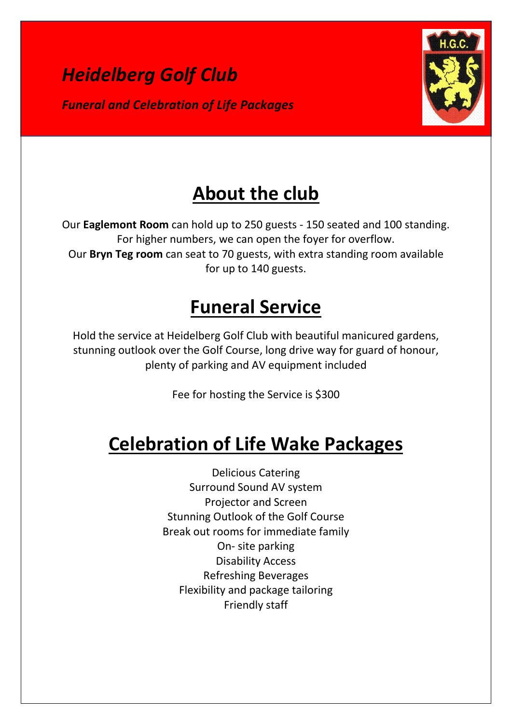



# **About the club**

Our **Eaglemont Room** can hold up to 250 guests - 150 seated and 100 standing. For higher numbers, we can open the foyer for overflow. Our **Bryn Teg room** can seat to 70 guests, with extra standing room available for up to 140 guests.

# **Funeral Service**

Hold the service at Heidelberg Golf Club with beautiful manicured gardens, stunning outlook over the Golf Course, long drive way for guard of honour, plenty of parking and AV equipment included

Fee for hosting the Service is \$300

# **Celebration of Life Wake Packages**

Delicious Catering Surround Sound AV system Projector and Screen Stunning Outlook of the Golf Course Break out rooms for immediate family On- site parking Disability Access Refreshing Beverages Flexibility and package tailoring Friendly staff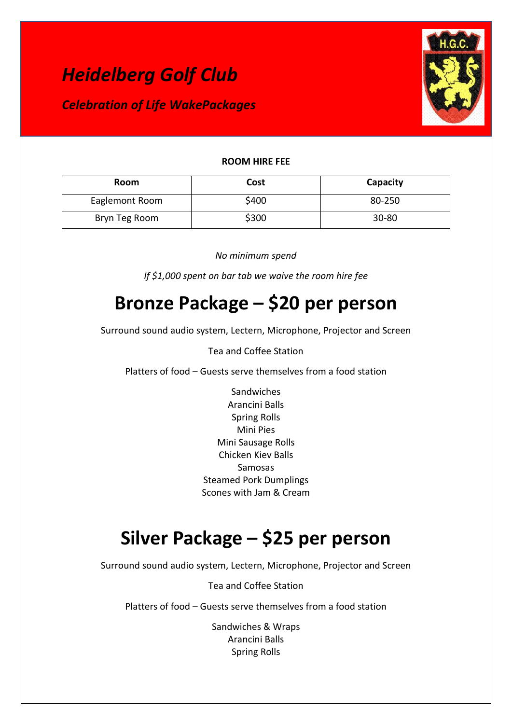

### **ROOM HIRE FEE**

| Room           | Cost  | Capacity  |
|----------------|-------|-----------|
| Eaglemont Room | \$400 | 80-250    |
| Bryn Teg Room  | \$300 | $30 - 80$ |

### *No minimum spend*

*If \$1,000 spent on bar tab we waive the room hire fee*

## **Bronze Package – \$20 per person**

Surround sound audio system, Lectern, Microphone, Projector and Screen

### Tea and Coffee Station

Platters of food – Guests serve themselves from a food station

Sandwiches Arancini Balls Spring Rolls Mini Pies Mini Sausage Rolls Chicken Kiev Balls Samosas Steamed Pork Dumplings Scones with Jam & Cream

## **Silver Package – \$25 per person**

Surround sound audio system, Lectern, Microphone, Projector and Screen

Tea and Coffee Station

Platters of food – Guests serve themselves from a food station

Sandwiches & Wraps Arancini Balls Spring Rolls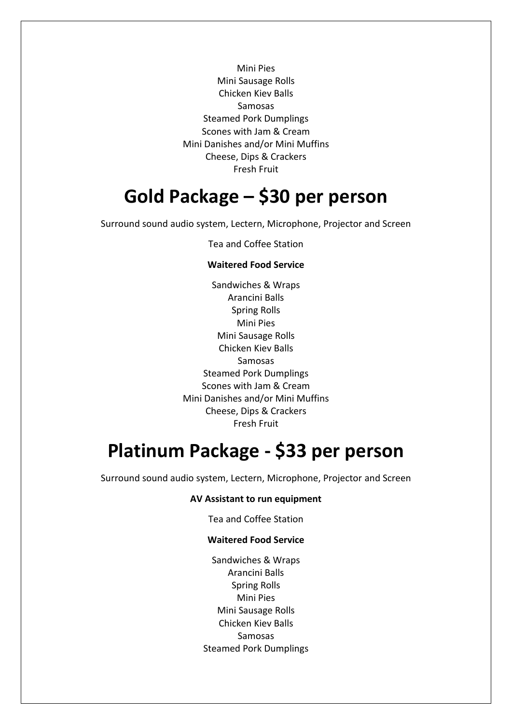Mini Pies Mini Sausage Rolls Chicken Kiev Balls Samosas Steamed Pork Dumplings Scones with Jam & Cream Mini Danishes and/or Mini Muffins Cheese, Dips & Crackers Fresh Fruit

### **Gold Package – \$30 per person**

Surround sound audio system, Lectern, Microphone, Projector and Screen

Tea and Coffee Station

#### **Waitered Food Service**

Sandwiches & Wraps Arancini Balls Spring Rolls Mini Pies Mini Sausage Rolls Chicken Kiev Balls Samosas Steamed Pork Dumplings Scones with Jam & Cream Mini Danishes and/or Mini Muffins Cheese, Dips & Crackers Fresh Fruit

### **Platinum Package - \$33 per person**

Surround sound audio system, Lectern, Microphone, Projector and Screen

#### **AV Assistant to run equipment**

Tea and Coffee Station

#### **Waitered Food Service**

Sandwiches & Wraps Arancini Balls Spring Rolls Mini Pies Mini Sausage Rolls Chicken Kiev Balls Samosas Steamed Pork Dumplings